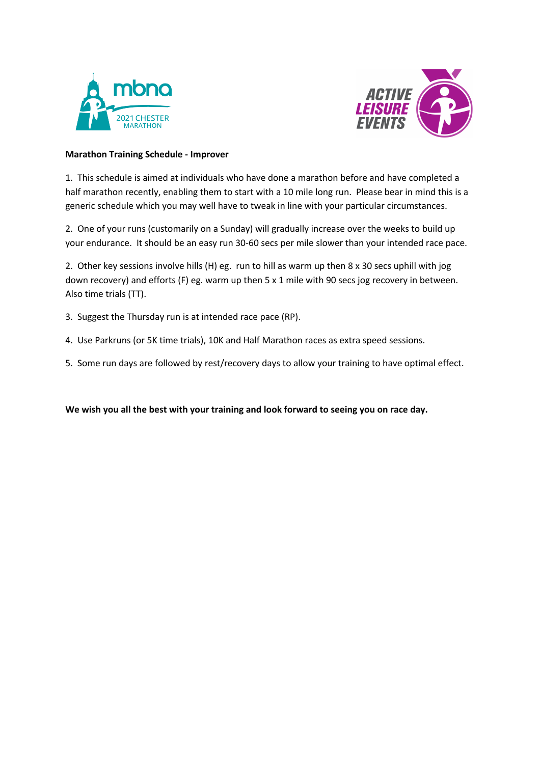



## **Marathon Training Schedule - Improver**

1. This schedule is aimed at individuals who have done a marathon before and have completed a half marathon recently, enabling them to start with a 10 mile long run. Please bear in mind this is a generic schedule which you may well have to tweak in line with your particular circumstances.

2. One of your runs (customarily on a Sunday) will gradually increase over the weeks to build up your endurance. It should be an easy run 30-60 secs per mile slower than your intended race pace.

2. Other key sessions involve hills (H) eg. run to hill as warm up then 8 x 30 secs uphill with jog down recovery) and efforts (F) eg. warm up then 5 x 1 mile with 90 secs jog recovery in between. Also time trials (TT).

3. Suggest the Thursday run is at intended race pace (RP).

- 4. Use Parkruns (or 5K time trials), 10K and Half Marathon races as extra speed sessions.
- 5. Some run days are followed by rest/recovery days to allow your training to have optimal effect.

**We wish you all the best with your training and look forward to seeing you on race day.**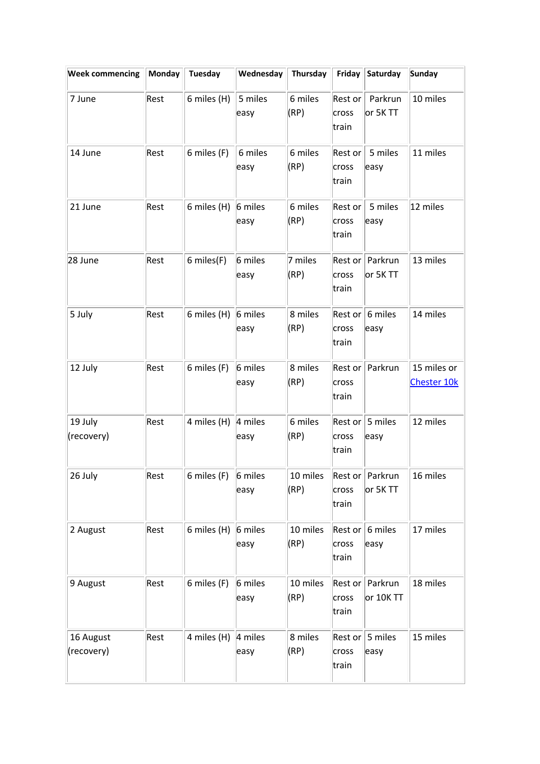| <b>Week commencing</b>  | Monday | Tuesday       | Wednesday       | Thursday         | Friday                                                  | Saturday                       | <b>Sunday</b>                     |
|-------------------------|--------|---------------|-----------------|------------------|---------------------------------------------------------|--------------------------------|-----------------------------------|
| 7 June                  | Rest   | 6 miles (H)   | 5 miles<br>easy | 6 miles<br>(RP)  | Rest or<br>cross<br>train                               | Parkrun<br>or 5K TT            | 10 miles                          |
| 14 June                 | Rest   | 6 miles (F)   | 6 miles<br>easy | 6 miles<br>(RP)  | Rest or<br>cross<br>train                               | 5 miles<br>easy                | 11 miles                          |
| 21 June                 | Rest   | 6 miles (H)   | 6 miles<br>easy | 6 miles<br>(RP)  | Rest or<br>cross<br>train                               | 5 miles<br>easy                | 12 miles                          |
| 28 June                 | Rest   | 6 miles(F)    | 6 miles<br>easy | 7 miles<br>(RP)  | cross<br>train                                          | Rest or   Parkrun<br>or 5K TT  | 13 miles                          |
| 5 July                  | Rest   | 6 miles $(H)$ | 6 miles<br>easy | 8 miles<br>(RP)  | $\textsf{Rest} \textsf{or} \parallel$<br>cross<br>train | 6 miles<br>easy                | 14 miles                          |
| 12 July                 | Rest   | 6 miles (F)   | 6 miles<br>easy | 8 miles<br>(RP)  | Rest or<br>cross<br>train                               | Parkrun                        | 15 miles or<br><b>Chester 10k</b> |
| 19 July<br>(recovery)   | Rest   | 4 miles (H)   | 4 miles<br>easy | 6 miles<br>(RP)  | Rest or<br>cross<br>train                               | 5 miles<br>easy                | 12 miles                          |
| $26$ July               | Rest   | 6 miles (F)   | 6 miles<br>easy | 10 miles<br>(RP) | cross<br>train                                          | Rest or   Parkrun<br>or 5K TT  | 16 miles                          |
| 2 August                | Rest   | 6 miles (H)   | 6 miles<br>easy | 10 miles<br>(RP) | cross<br>train                                          | Rest or $6$ miles<br>easy      | 17 miles                          |
| 9 August                | Rest   | 6 miles (F)   | 6 miles<br>easy | 10 miles<br>(RP) | cross<br>train                                          | Rest or   Parkrun<br>or 10K TT | 18 miles                          |
| 16 August<br>(recovery) | Rest   | 4 miles (H)   | 4 miles<br>easy | 8 miles<br>(RP)  | Rest or<br>cross<br>train                               | 5 miles<br>easy                | 15 miles                          |